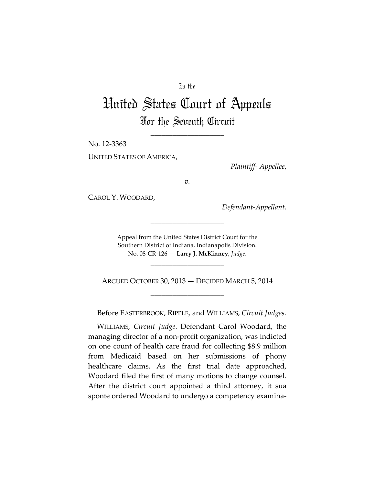### In the

# United States Court of Appeals For the Seventh Circuit

\_\_\_\_\_\_\_\_\_\_\_\_\_\_\_\_\_\_\_\_

No. 12‐3363

UNITED STATES OF AMERICA,

*Plaintiff‐ Appellee*,

*v.*

CAROL Y. WOODARD,

*Defendant‐Appellant.*

Appeal from the United States District Court for the Southern District of Indiana, Indianapolis Division. No. 08‐CR‐126 — **Larry J. McKinney**, *Judge*.

\_\_\_\_\_\_\_\_\_\_\_\_\_\_\_\_\_\_\_\_

\_\_\_\_\_\_\_\_\_\_\_\_\_\_\_\_\_\_\_\_

ARGUED OCTOBER 30, 2013 — DECIDED MARCH 5, 2014 \_\_\_\_\_\_\_\_\_\_\_\_\_\_\_\_\_\_\_\_

Before EASTERBROOK, RIPPLE, and WILLIAMS, *Circuit Judges*.

 WILLIAMS, *Circuit Judge*. Defendant Carol Woodard, the managing director of a non‐profit organization, was indicted on one count of health care fraud for collecting \$8.9 million from Medicaid based on her submissions of phony healthcare claims. As the first trial date approached, Woodard filed the first of many motions to change counsel. After the district court appointed a third attorney, it sua sponte ordered Woodard to undergo a competency examina‐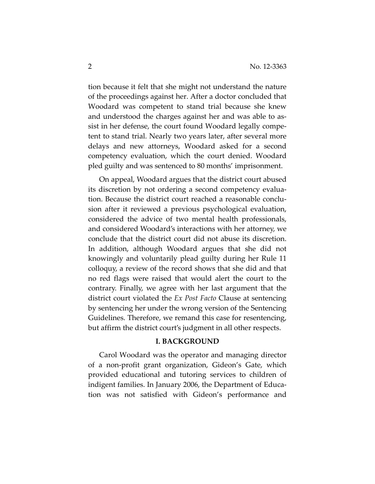tion because it felt that she might not understand the nature of the proceedings against her. After a doctor concluded that Woodard was competent to stand trial because she knew and understood the charges against her and was able to as‐ sist in her defense, the court found Woodard legally compe‐ tent to stand trial. Nearly two years later, after several more delays and new attorneys, Woodard asked for a second competency evaluation, which the court denied. Woodard pled guilty and was sentenced to 80 months' imprisonment.

On appeal, Woodard argues that the district court abused its discretion by not ordering a second competency evalua‐ tion. Because the district court reached a reasonable conclu‐ sion after it reviewed a previous psychological evaluation, considered the advice of two mental health professionals, and considered Woodard's interactions with her attorney, we conclude that the district court did not abuse its discretion. In addition, although Woodard argues that she did not knowingly and voluntarily plead guilty during her Rule 11 colloquy, a review of the record shows that she did and that no red flags were raised that would alert the court to the contrary. Finally, we agree with her last argument that the district court violated the *Ex Post Facto* Clause at sentencing by sentencing her under the wrong version of the Sentencing Guidelines. Therefore, we remand this case for resentencing, but affirm the district court's judgment in all other respects.

## **I. BACKGROUND**

Carol Woodard was the operator and managing director of a non‐profit grant organization, Gideon's Gate, which provided educational and tutoring services to children of indigent families. In January 2006, the Department of Educa‐ tion was not satisfied with Gideon's performance and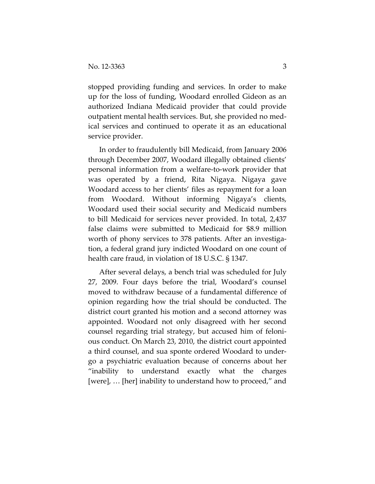stopped providing funding and services. In order to make up for the loss of funding, Woodard enrolled Gideon as an authorized Indiana Medicaid provider that could provide outpatient mental health services. But, she provided no med‐ ical services and continued to operate it as an educational service provider.

In order to fraudulently bill Medicaid, from January 2006 through December 2007, Woodard illegally obtained clients' personal information from a welfare‐to‐work provider that was operated by a friend, Rita Nigaya. Nigaya gave Woodard access to her clients' files as repayment for a loan from Woodard. Without informing Nigaya's clients, Woodard used their social security and Medicaid numbers to bill Medicaid for services never provided. In total, 2,437 false claims were submitted to Medicaid for \$8.9 million worth of phony services to 378 patients. After an investigation, a federal grand jury indicted Woodard on one count of health care fraud, in violation of 18 U.S.C. § 1347.

After several delays, a bench trial was scheduled for July 27, 2009. Four days before the trial, Woodard's counsel moved to withdraw because of a fundamental difference of opinion regarding how the trial should be conducted. The district court granted his motion and a second attorney was appointed. Woodard not only disagreed with her second counsel regarding trial strategy, but accused him of feloni‐ ous conduct. On March 23, 2010, the district court appointed a third counsel, and sua sponte ordered Woodard to under‐ go a psychiatric evaluation because of concerns about her "inability to understand exactly what the charges [were], … [her] inability to understand how to proceed," and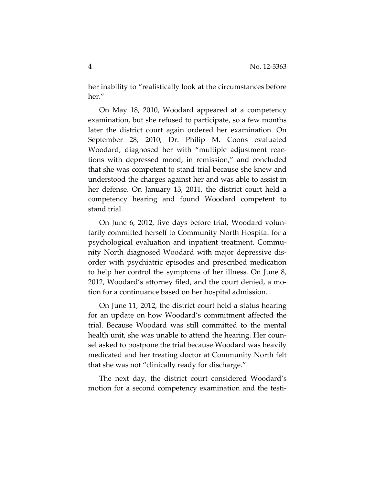her inability to "realistically look at the circumstances before her."

On May 18, 2010, Woodard appeared at a competency examination, but she refused to participate, so a few months later the district court again ordered her examination. On September 28, 2010, Dr. Philip M. Coons evaluated Woodard, diagnosed her with "multiple adjustment reac‐ tions with depressed mood, in remission," and concluded that she was competent to stand trial because she knew and understood the charges against her and was able to assist in her defense. On January 13, 2011, the district court held a competency hearing and found Woodard competent to stand trial.

On June 6, 2012, five days before trial, Woodard volun‐ tarily committed herself to Community North Hospital for a psychological evaluation and inpatient treatment. Commu‐ nity North diagnosed Woodard with major depressive dis‐ order with psychiatric episodes and prescribed medication to help her control the symptoms of her illness. On June 8, 2012, Woodard's attorney filed, and the court denied, a mo‐ tion for a continuance based on her hospital admission.

On June 11, 2012, the district court held a status hearing for an update on how Woodard's commitment affected the trial. Because Woodard was still committed to the mental health unit, she was unable to attend the hearing. Her counsel asked to postpone the trial because Woodard was heavily medicated and her treating doctor at Community North felt that she was not "clinically ready for discharge."

The next day, the district court considered Woodard's motion for a second competency examination and the testi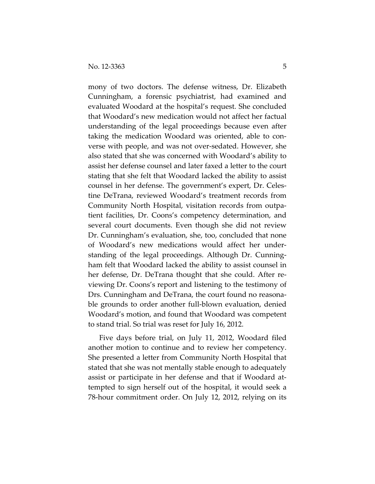mony of two doctors. The defense witness, Dr. Elizabeth Cunningham, a forensic psychiatrist, had examined and evaluated Woodard at the hospital's request. She concluded that Woodard's new medication would not affect her factual understanding of the legal proceedings because even after taking the medication Woodard was oriented, able to con‐ verse with people, and was not over‐sedated. However, she also stated that she was concerned with Woodard's ability to assist her defense counsel and later faxed a letter to the court stating that she felt that Woodard lacked the ability to assist counsel in her defense. The government's expert, Dr. Celes‐ tine DeTrana, reviewed Woodard's treatment records from Community North Hospital, visitation records from outpa‐ tient facilities, Dr. Coons's competency determination, and several court documents. Even though she did not review Dr. Cunningham's evaluation, she, too, concluded that none of Woodard's new medications would affect her under‐ standing of the legal proceedings. Although Dr. Cunning‐ ham felt that Woodard lacked the ability to assist counsel in her defense, Dr. DeTrana thought that she could. After re‐ viewing Dr. Coons's report and listening to the testimony of Drs. Cunningham and DeTrana, the court found no reasona‐ ble grounds to order another full-blown evaluation, denied Woodard's motion, and found that Woodard was competent to stand trial. So trial was reset for July 16, 2012.

Five days before trial, on July 11, 2012, Woodard filed another motion to continue and to review her competency. She presented a letter from Community North Hospital that stated that she was not mentally stable enough to adequately assist or participate in her defense and that if Woodard at‐ tempted to sign herself out of the hospital, it would seek a 78‐hour commitment order. On July 12, 2012, relying on its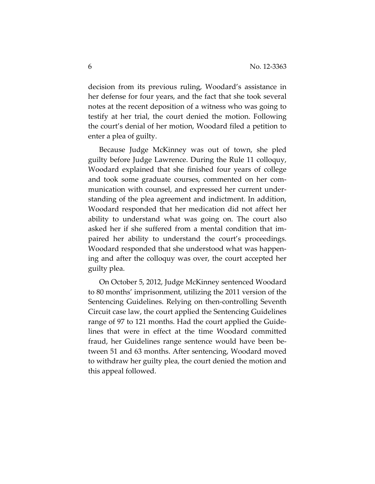decision from its previous ruling, Woodard's assistance in her defense for four years, and the fact that she took several notes at the recent deposition of a witness who was going to testify at her trial, the court denied the motion. Following the court's denial of her motion, Woodard filed a petition to enter a plea of guilty.

Because Judge McKinney was out of town, she pled guilty before Judge Lawrence. During the Rule 11 colloquy, Woodard explained that she finished four years of college and took some graduate courses, commented on her com‐ munication with counsel, and expressed her current under‐ standing of the plea agreement and indictment. In addition, Woodard responded that her medication did not affect her ability to understand what was going on. The court also asked her if she suffered from a mental condition that im‐ paired her ability to understand the court's proceedings. Woodard responded that she understood what was happen‐ ing and after the colloquy was over, the court accepted her guilty plea.

On October 5, 2012, Judge McKinney sentenced Woodard to 80 months' imprisonment, utilizing the 2011 version of the Sentencing Guidelines. Relying on then‐controlling Seventh Circuit case law, the court applied the Sentencing Guidelines range of 97 to 121 months. Had the court applied the Guide‐ lines that were in effect at the time Woodard committed fraud, her Guidelines range sentence would have been be‐ tween 51 and 63 months. After sentencing, Woodard moved to withdraw her guilty plea, the court denied the motion and this appeal followed.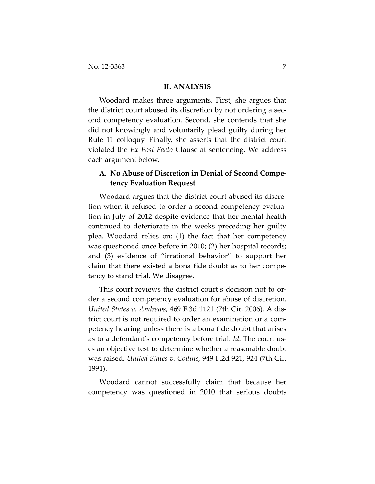#### **II. ANALYSIS**

Woodard makes three arguments. First, she argues that the district court abused its discretion by not ordering a second competency evaluation. Second, she contends that she did not knowingly and voluntarily plead guilty during her Rule 11 colloquy. Finally, she asserts that the district court violated the *Ex Post Facto* Clause at sentencing. We address each argument below.

# **A. No Abuse of Discretion in Denial of Second Compe‐ tency Evaluation Request**

Woodard argues that the district court abused its discre‐ tion when it refused to order a second competency evalua‐ tion in July of 2012 despite evidence that her mental health continued to deteriorate in the weeks preceding her guilty plea. Woodard relies on: (1) the fact that her competency was questioned once before in 2010; (2) her hospital records; and (3) evidence of "irrational behavior" to support her claim that there existed a bona fide doubt as to her compe‐ tency to stand trial. We disagree.

This court reviews the district court's decision not to or‐ der a second competency evaluation for abuse of discretion. *United States v. Andrews*, 469 F.3d 1121 (7th Cir. 2006). A dis‐ trict court is not required to order an examination or a com‐ petency hearing unless there is a bona fide doubt that arises as to a defendant's competency before trial. *Id*. The court us‐ es an objective test to determine whether a reasonable doubt was raised. *United States v. Collins*, 949 F.2d 921, 924 (7th Cir. 1991).

Woodard cannot successfully claim that because her competency was questioned in 2010 that serious doubts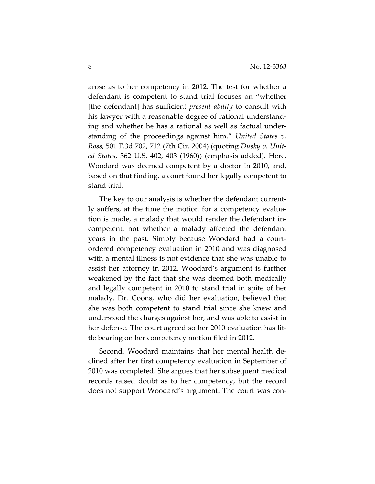arose as to her competency in 2012. The test for whether a defendant is competent to stand trial focuses on "whether [the defendant] has sufficient *present ability* to consult with his lawyer with a reasonable degree of rational understand‐ ing and whether he has a rational as well as factual under‐ standing of the proceedings against him." *United States v. Ross*, 501 F.3d 702, 712 (7th Cir. 2004) (quoting *Dusky v. Unit‐ ed States*, 362 U.S. 402, 403 (1960)) (emphasis added). Here, Woodard was deemed competent by a doctor in 2010, and, based on that finding, a court found her legally competent to stand trial.

The key to our analysis is whether the defendant current‐ ly suffers, at the time the motion for a competency evalua‐ tion is made, a malady that would render the defendant in‐ competent, not whether a malady affected the defendant years in the past. Simply because Woodard had a court‐ ordered competency evaluation in 2010 and was diagnosed with a mental illness is not evidence that she was unable to assist her attorney in 2012. Woodard's argument is further weakened by the fact that she was deemed both medically and legally competent in 2010 to stand trial in spite of her malady. Dr. Coons, who did her evaluation, believed that she was both competent to stand trial since she knew and understood the charges against her, and was able to assist in her defense. The court agreed so her 2010 evaluation has little bearing on her competency motion filed in 2012.

Second, Woodard maintains that her mental health de‐ clined after her first competency evaluation in September of 2010 was completed. She argues that her subsequent medical records raised doubt as to her competency, but the record does not support Woodard's argument. The court was con‐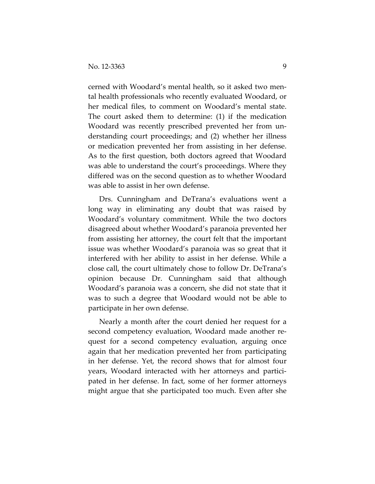cerned with Woodard's mental health, so it asked two men‐ tal health professionals who recently evaluated Woodard, or her medical files, to comment on Woodard's mental state. The court asked them to determine: (1) if the medication Woodard was recently prescribed prevented her from un‐ derstanding court proceedings; and (2) whether her illness or medication prevented her from assisting in her defense. As to the first question, both doctors agreed that Woodard was able to understand the court's proceedings. Where they differed was on the second question as to whether Woodard was able to assist in her own defense.

Drs. Cunningham and DeTrana's evaluations went a long way in eliminating any doubt that was raised by Woodard's voluntary commitment. While the two doctors disagreed about whether Woodard's paranoia prevented her from assisting her attorney, the court felt that the important issue was whether Woodard's paranoia was so great that it interfered with her ability to assist in her defense. While a close call, the court ultimately chose to follow Dr. DeTrana's opinion because Dr. Cunningham said that although Woodard's paranoia was a concern, she did not state that it was to such a degree that Woodard would not be able to participate in her own defense.

Nearly a month after the court denied her request for a second competency evaluation, Woodard made another re‐ quest for a second competency evaluation, arguing once again that her medication prevented her from participating in her defense. Yet, the record shows that for almost four years, Woodard interacted with her attorneys and partici‐ pated in her defense. In fact, some of her former attorneys might argue that she participated too much. Even after she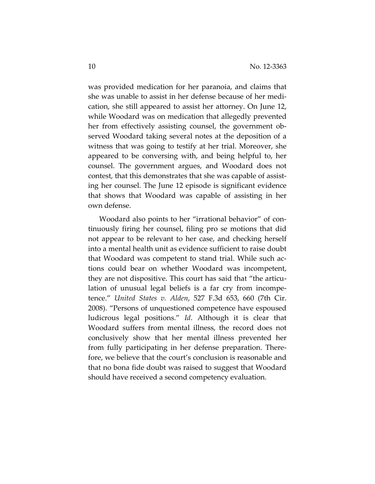was provided medication for her paranoia, and claims that she was unable to assist in her defense because of her medi‐ cation, she still appeared to assist her attorney. On June 12, while Woodard was on medication that allegedly prevented her from effectively assisting counsel, the government observed Woodard taking several notes at the deposition of a witness that was going to testify at her trial. Moreover, she appeared to be conversing with, and being helpful to, her counsel. The government argues, and Woodard does not contest, that this demonstrates that she was capable of assist‐ ing her counsel. The June 12 episode is significant evidence that shows that Woodard was capable of assisting in her own defense.

Woodard also points to her "irrational behavior" of con‐ tinuously firing her counsel, filing pro se motions that did not appear to be relevant to her case, and checking herself into a mental health unit as evidence sufficient to raise doubt that Woodard was competent to stand trial. While such ac‐ tions could bear on whether Woodard was incompetent, they are not dispositive. This court has said that "the articu‐ lation of unusual legal beliefs is a far cry from incompe‐ tence." *United States v. Alden*, 527 F.3d 653, 660 (7th Cir. 2008). "Persons of unquestioned competence have espoused ludicrous legal positions." *Id*. Although it is clear that Woodard suffers from mental illness, the record does not conclusively show that her mental illness prevented her from fully participating in her defense preparation. There‐ fore, we believe that the court's conclusion is reasonable and that no bona fide doubt was raised to suggest that Woodard should have received a second competency evaluation.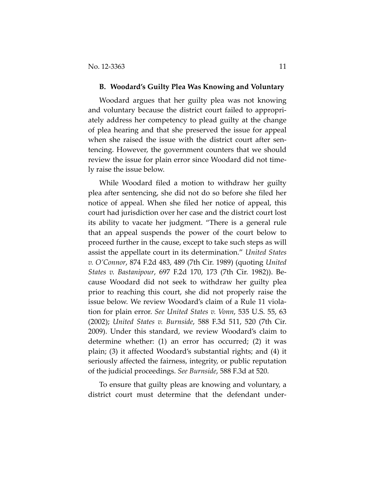#### **B. Woodard's Guilty Plea Was Knowing and Voluntary**

Woodard argues that her guilty plea was not knowing and voluntary because the district court failed to appropri‐ ately address her competency to plead guilty at the change of plea hearing and that she preserved the issue for appeal when she raised the issue with the district court after sentencing. However, the government counters that we should review the issue for plain error since Woodard did not time‐ ly raise the issue below.

While Woodard filed a motion to withdraw her guilty plea after sentencing, she did not do so before she filed her notice of appeal. When she filed her notice of appeal, this court had jurisdiction over her case and the district court lost its ability to vacate her judgment. "There is a general rule that an appeal suspends the power of the court below to proceed further in the cause, except to take such steps as will assist the appellate court in its determination." *United States v. O'Connor*, 874 F.2d 483, 489 (7th Cir. 1989) (quoting *United States v. Bastanipour*, 697 F.2d 170, 173 (7th Cir. 1982)). Be‐ cause Woodard did not seek to withdraw her guilty plea prior to reaching this court, she did not properly raise the issue below. We review Woodard's claim of a Rule 11 viola‐ tion for plain error. *See United States v. Vonn*, 535 U.S. 55, 63 (2002); *United States v. Burnside*, 588 F.3d 511, 520 (7th Cir. 2009). Under this standard, we review Woodard's claim to determine whether: (1) an error has occurred; (2) it was plain; (3) it affected Woodard's substantial rights; and (4) it seriously affected the fairness, integrity, or public reputation of the judicial proceedings. *See Burnside*, 588 F.3d at 520.

To ensure that guilty pleas are knowing and voluntary, a district court must determine that the defendant under‐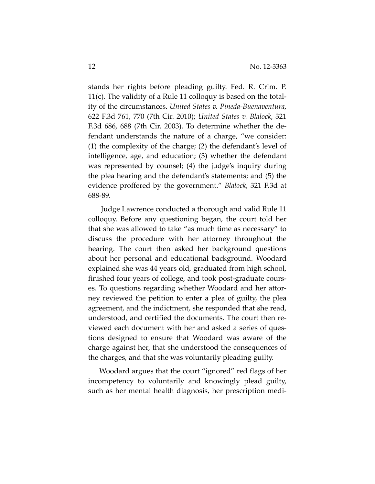stands her rights before pleading guilty. Fed. R. Crim. P. 11(c). The validity of a Rule 11 colloquy is based on the total‐ ity of the circumstances. *United States v. Pineda‐Buenaventura*, 622 F.3d 761, 770 (7th Cir. 2010); *United States v. Blalock*, 321 F.3d 686, 688 (7th Cir. 2003). To determine whether the de‐ fendant understands the nature of a charge, "we consider: (1) the complexity of the charge; (2) the defendant's level of intelligence, age, and education; (3) whether the defendant was represented by counsel; (4) the judge's inquiry during the plea hearing and the defendant's statements; and (5) the evidence proffered by the government." *Blalock*, 321 F.3d at 688‐89*.*

Judge Lawrence conducted a thorough and valid Rule 11 colloquy. Before any questioning began, the court told her that she was allowed to take "as much time as necessary" to discuss the procedure with her attorney throughout the hearing. The court then asked her background questions about her personal and educational background. Woodard explained she was 44 years old, graduated from high school, finished four years of college, and took post‐graduate cours‐ es. To questions regarding whether Woodard and her attor‐ ney reviewed the petition to enter a plea of guilty, the plea agreement, and the indictment, she responded that she read, understood, and certified the documents. The court then re‐ viewed each document with her and asked a series of ques‐ tions designed to ensure that Woodard was aware of the charge against her, that she understood the consequences of the charges, and that she was voluntarily pleading guilty.

Woodard argues that the court "ignored" red flags of her incompetency to voluntarily and knowingly plead guilty, such as her mental health diagnosis, her prescription medi‐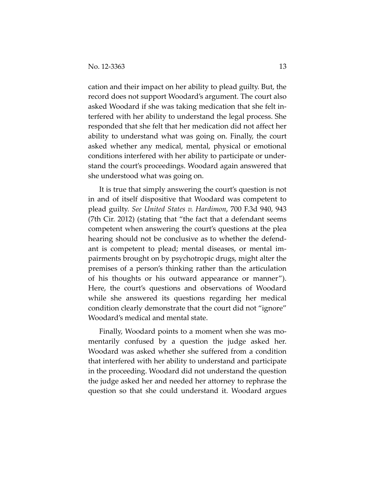cation and their impact on her ability to plead guilty. But, the record does not support Woodard's argument. The court also asked Woodard if she was taking medication that she felt in‐ terfered with her ability to understand the legal process. She responded that she felt that her medication did not affect her ability to understand what was going on. Finally, the court asked whether any medical, mental, physical or emotional conditions interfered with her ability to participate or under‐ stand the court's proceedings. Woodard again answered that she understood what was going on.

It is true that simply answering the court's question is not in and of itself dispositive that Woodard was competent to plead guilty. *See United States v. Hardimon*, 700 F.3d 940, 943 (7th Cir. 2012) (stating that "the fact that a defendant seems competent when answering the court's questions at the plea hearing should not be conclusive as to whether the defend‐ ant is competent to plead; mental diseases, or mental im‐ pairments brought on by psychotropic drugs, might alter the premises of a person's thinking rather than the articulation of his thoughts or his outward appearance or manner"). Here, the court's questions and observations of Woodard while she answered its questions regarding her medical condition clearly demonstrate that the court did not "ignore" Woodard's medical and mental state.

Finally, Woodard points to a moment when she was mo‐ mentarily confused by a question the judge asked her. Woodard was asked whether she suffered from a condition that interfered with her ability to understand and participate in the proceeding. Woodard did not understand the question the judge asked her and needed her attorney to rephrase the question so that she could understand it. Woodard argues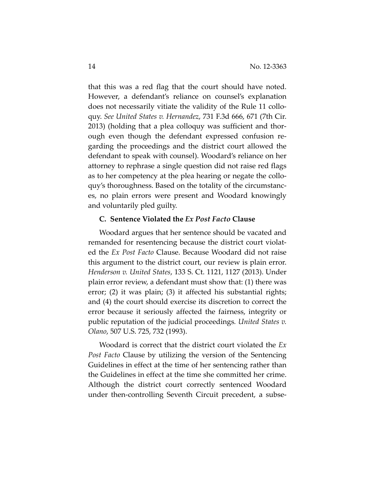that this was a red flag that the court should have noted. However, a defendant's reliance on counsel's explanation does not necessarily vitiate the validity of the Rule 11 collo‐ quy. *See United States v. Hernandez*, 731 F.3d 666, 671 (7th Cir. 2013) (holding that a plea colloquy was sufficient and thor‐ ough even though the defendant expressed confusion re‐ garding the proceedings and the district court allowed the defendant to speak with counsel). Woodard's reliance on her attorney to rephrase a single question did not raise red flags as to her competency at the plea hearing or negate the collo‐ quy's thoroughness. Based on the totality of the circumstanc‐ es, no plain errors were present and Woodard knowingly and voluntarily pled guilty.

## **C. Sentence Violated the** *Ex Post Facto* **Clause**

Woodard argues that her sentence should be vacated and remanded for resentencing because the district court violat‐ ed the *Ex Post Facto* Clause. Because Woodard did not raise this argument to the district court, our review is plain error. *Henderson v. United States*, 133 S. Ct. 1121, 1127 (2013). Under plain error review, a defendant must show that: (1) there was error; (2) it was plain; (3) it affected his substantial rights; and (4) the court should exercise its discretion to correct the error because it seriously affected the fairness, integrity or public reputation of the judicial proceedings*. United States v. Olano*, 507 U.S. 725, 732 (1993).

Woodard is correct that the district court violated the *Ex Post Facto* Clause by utilizing the version of the Sentencing Guidelines in effect at the time of her sentencing rather than the Guidelines in effect at the time she committed her crime. Although the district court correctly sentenced Woodard under then‐controlling Seventh Circuit precedent, a subse‐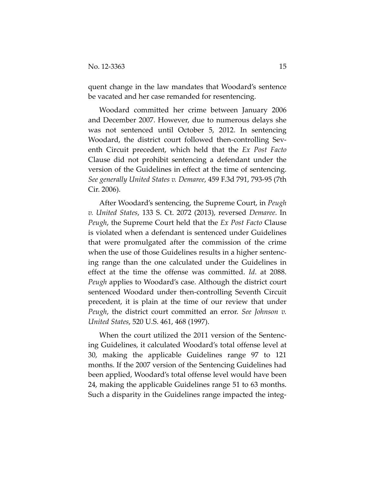quent change in the law mandates that Woodard's sentence be vacated and her case remanded for resentencing.

Woodard committed her crime between January 2006 and December 2007. However, due to numerous delays she was not sentenced until October 5, 2012. In sentencing Woodard, the district court followed then‐controlling Sev‐ enth Circuit precedent, which held that the *Ex Post Facto* Clause did not prohibit sentencing a defendant under the version of the Guidelines in effect at the time of sentencing. *See generally United States v. Demaree*, 459 F.3d 791, 793‐95 (7th Cir. 2006).

After Woodard's sentencing, the Supreme Court, in *Peugh v. United States*, 133 S. Ct. 2072 (2013), reversed *Demaree*. In *Peugh*, the Supreme Court held that the *Ex Post Facto* Clause is violated when a defendant is sentenced under Guidelines that were promulgated after the commission of the crime when the use of those Guidelines results in a higher sentencing range than the one calculated under the Guidelines in effect at the time the offense was committed. *Id*. at 2088. *Peugh* applies to Woodard's case. Although the district court sentenced Woodard under then-controlling Seventh Circuit precedent, it is plain at the time of our review that under *Peugh*, the district court committed an error. *See Johnson v. United States*, 520 U.S. 461, 468 (1997).

When the court utilized the 2011 version of the Sentencing Guidelines, it calculated Woodard's total offense level at 30, making the applicable Guidelines range 97 to 121 months. If the 2007 version of the Sentencing Guidelines had been applied, Woodard's total offense level would have been 24, making the applicable Guidelines range 51 to 63 months. Such a disparity in the Guidelines range impacted the integ